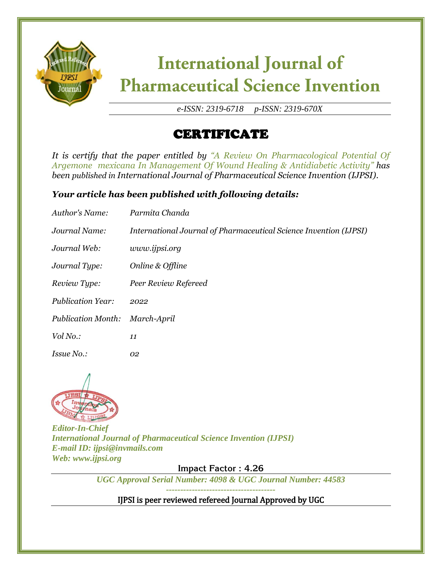

*e-ISSN: 2319-6718 p-ISSN: 2319-670X*

### CERTIFICATE

*It is certify that the paper entitled by "A Review On Pharmacological Potential Of Argemone mexicana In Management Of Wound Healing & Antidiabetic Activity" has been published in International Journal of Pharmaceutical Science Invention (IJPSI).*

#### *Your article has been published with following details:*

| Author's Name:            | Parmita Chanda                                                    |
|---------------------------|-------------------------------------------------------------------|
| Journal Name:             | International Journal of Pharmaceutical Science Invention (IJPSI) |
| Journal Web:              | www.ijpsi.org                                                     |
| Journal Type:             | Online & Offline                                                  |
| Review Type:              | Peer Review Refereed                                              |
| <b>Publication Year:</b>  | 2022                                                              |
| <b>Publication Month:</b> | March-April                                                       |
| Vol No.:                  | 11                                                                |
| Issue No.:                | 02                                                                |



*Editor-In-Chief International Journal of Pharmaceutical Science Invention (IJPSI) E-mail ID: ijpsi@invmails.com Web: www.ijpsi.org*

**Impact Factor : 4.26**

*UGC Approval Serial Number: 4098 & UGC Journal Number: 44583*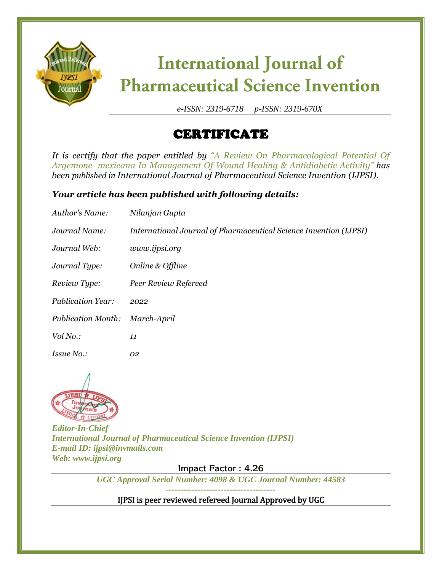

*e-ISSN: 2319-6718 p-ISSN: 2319-670X*

### CERTIFICATE

*It is certify that the paper entitled by "A Review On Pharmacological Potential Of Argemone mexicana In Management Of Wound Healing & Antidiabetic Activity" has been published in International Journal of Pharmaceutical Science Invention (IJPSI).*

#### *Your article has been published with following details:*

| Author's Name:            | Nilanjan Gupta                                                    |
|---------------------------|-------------------------------------------------------------------|
| Journal Name:             | International Journal of Pharmaceutical Science Invention (IJPSI) |
| Journal Web:              | www.ijpsi.org                                                     |
| Journal Type:             | Online & Offline                                                  |
| Review Type:              | Peer Review Refereed                                              |
| <b>Publication Year:</b>  | 2022                                                              |
| <b>Publication Month:</b> | March-April                                                       |
| Vol No.:                  | 11                                                                |
| Issue No.:                | 02                                                                |



*Editor-In-Chief International Journal of Pharmaceutical Science Invention (IJPSI) E-mail ID: ijpsi@invmails.com Web: www.ijpsi.org*

**Impact Factor : 4.26**

*UGC Approval Serial Number: 4098 & UGC Journal Number: 44583*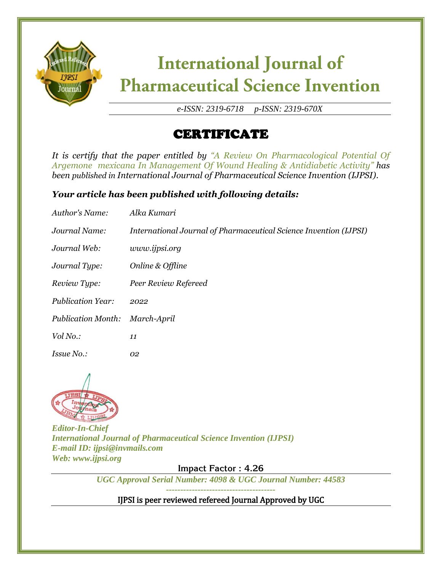

*e-ISSN: 2319-6718 p-ISSN: 2319-670X*

### CERTIFICATE

*It is certify that the paper entitled by "A Review On Pharmacological Potential Of Argemone mexicana In Management Of Wound Healing & Antidiabetic Activity" has been published in International Journal of Pharmaceutical Science Invention (IJPSI).*

#### *Your article has been published with following details:*

| Author's Name:            | Alka Kumari                                                       |
|---------------------------|-------------------------------------------------------------------|
| Journal Name:             | International Journal of Pharmaceutical Science Invention (IJPSI) |
| Journal Web:              | www.ijpsi.org                                                     |
| Journal Type:             | Online & Offline                                                  |
| Review Type:              | Peer Review Refereed                                              |
| <b>Publication Year:</b>  | 2022                                                              |
| <b>Publication Month:</b> | March-April                                                       |
| Vol No.:                  | 11                                                                |
| <i>Issue No.:</i>         | 02                                                                |



*Editor-In-Chief International Journal of Pharmaceutical Science Invention (IJPSI) E-mail ID: ijpsi@invmails.com Web: www.ijpsi.org*

**Impact Factor : 4.26**

*UGC Approval Serial Number: 4098 & UGC Journal Number: 44583*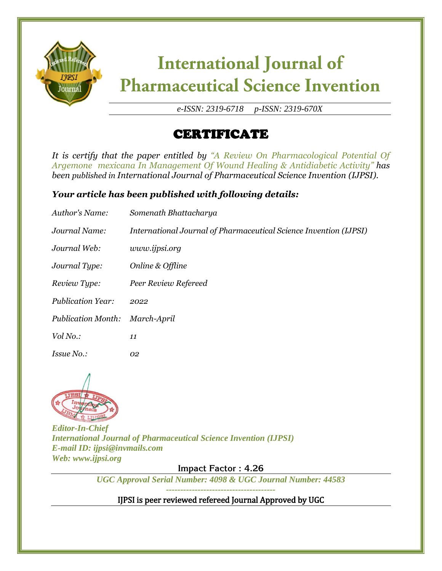

*e-ISSN: 2319-6718 p-ISSN: 2319-670X*

### CERTIFICATE

*It is certify that the paper entitled by "A Review On Pharmacological Potential Of Argemone mexicana In Management Of Wound Healing & Antidiabetic Activity" has been published in International Journal of Pharmaceutical Science Invention (IJPSI).*

#### *Your article has been published with following details:*

| Author's Name:            | Somenath Bhattacharya                                             |
|---------------------------|-------------------------------------------------------------------|
| Journal Name:             | International Journal of Pharmaceutical Science Invention (IJPSI) |
| Journal Web:              | www.ijpsi.org                                                     |
| Journal Type:             | Online & Offline                                                  |
| Review Type:              | Peer Review Refereed                                              |
| <b>Publication Year:</b>  | 2022                                                              |
| <b>Publication Month:</b> | March-April                                                       |
| Vol No.:                  | 11                                                                |
| Issue No.:                | 02                                                                |



*Editor-In-Chief International Journal of Pharmaceutical Science Invention (IJPSI) E-mail ID: ijpsi@invmails.com Web: www.ijpsi.org*

**Impact Factor : 4.26**

*UGC Approval Serial Number: 4098 & UGC Journal Number: 44583*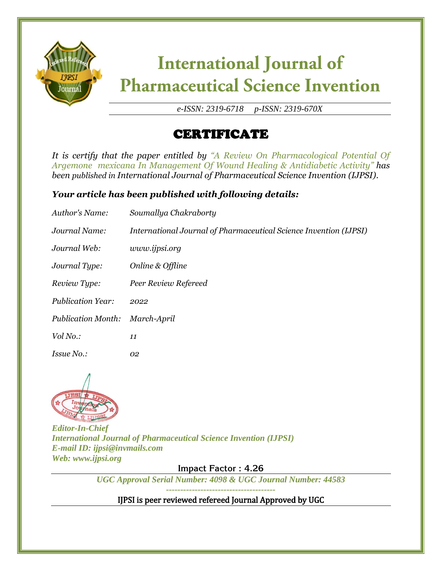

*e-ISSN: 2319-6718 p-ISSN: 2319-670X*

### CERTIFICATE

*It is certify that the paper entitled by "A Review On Pharmacological Potential Of Argemone mexicana In Management Of Wound Healing & Antidiabetic Activity" has been published in International Journal of Pharmaceutical Science Invention (IJPSI).*

#### *Your article has been published with following details:*

| Author's Name:            | Soumallya Chakraborty                                             |
|---------------------------|-------------------------------------------------------------------|
| Journal Name:             | International Journal of Pharmaceutical Science Invention (IJPSI) |
| Journal Web:              | www.ijpsi.org                                                     |
| Journal Type:             | Online & Offline                                                  |
| Review Type:              | Peer Review Refereed                                              |
| <b>Publication Year:</b>  | 2022                                                              |
| <b>Publication Month:</b> | March-April                                                       |
| Vol No.:                  | 11                                                                |
| Issue No.:                | 02                                                                |



*Editor-In-Chief International Journal of Pharmaceutical Science Invention (IJPSI) E-mail ID: ijpsi@invmails.com Web: www.ijpsi.org*

**Impact Factor : 4.26**

*UGC Approval Serial Number: 4098 & UGC Journal Number: 44583*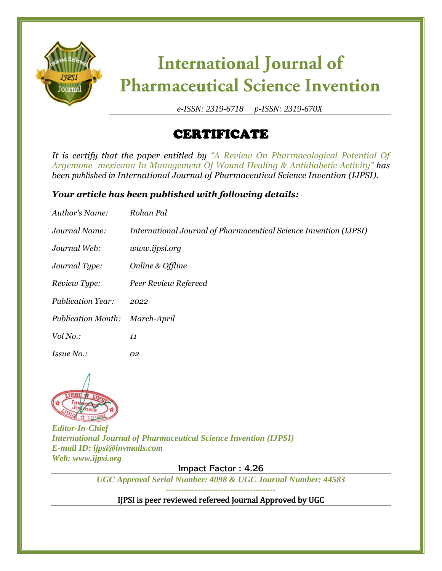

*e-ISSN: 2319-6718 p-ISSN: 2319-670X*

### CERTIFICATE

*It is certify that the paper entitled by "A Review On Pharmacological Potential Of Argemone mexicana In Management Of Wound Healing & Antidiabetic Activity" has been published in International Journal of Pharmaceutical Science Invention (IJPSI).*

#### *Your article has been published with following details:*

| Author's Name:            | Rohan Pal                                                         |
|---------------------------|-------------------------------------------------------------------|
| Journal Name:             | International Journal of Pharmaceutical Science Invention (IJPSI) |
| Journal Web:              | www.ijpsi.org                                                     |
| Journal Type:             | Online & Offline                                                  |
| Review Type:              | Peer Review Refereed                                              |
| <b>Publication Year:</b>  | 2022                                                              |
| <b>Publication Month:</b> | March-April                                                       |
| Vol No.:                  | 11                                                                |
| <i>Issue No.:</i>         | 02                                                                |



*Editor-In-Chief International Journal of Pharmaceutical Science Invention (IJPSI) E-mail ID: ijpsi@invmails.com Web: www.ijpsi.org*

**Impact Factor : 4.26**

*UGC Approval Serial Number: 4098 & UGC Journal Number: 44583*